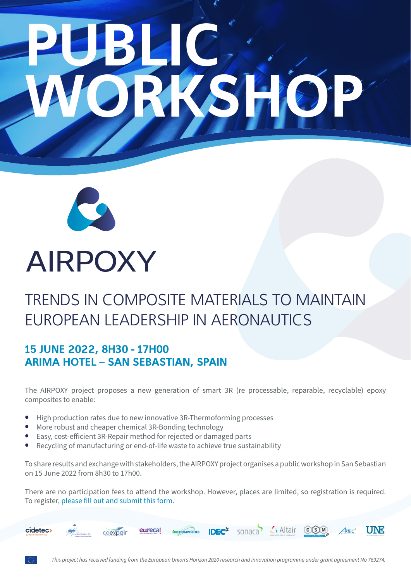# PUBLIC, WORKSHOP



# **AIRPOXY**

# TRENDS IN COMPOSITE MATERIALS TO MAINTAIN EUROPEAN LEADERSHIP IN AERONAUTICS

### 15 JUNE 2022, 8H30 - 17H00 ARIMA HOTEL – SAN SEBASTIAN, SPAIN

The AIRPOXY project proposes a new generation of smart 3R (re processable, reparable, recyclable) epoxy composites to enable:

- **•** High production rates due to new innovative 3R-Thermoforming processes
- **•** More robust and cheaper chemical 3R-Bonding technology
- **Easy, cost-efficient 3R-Repair method for rejected or damaged parts**
- **•** Recycling of manufacturing or end-of-life waste to achieve true sustainability

To share results and exchange with stakeholders, the AIRPOXY project organises a public workshop in San Sebastian on 15 June 2022 from 8h30 to 17h00.

There are no participation fees to attend the workshop. However, places are limited, so registration is required. To register, [please fill out and submit this form.](https://ec.europa.eu/eusurvey/runner/airpoxy)

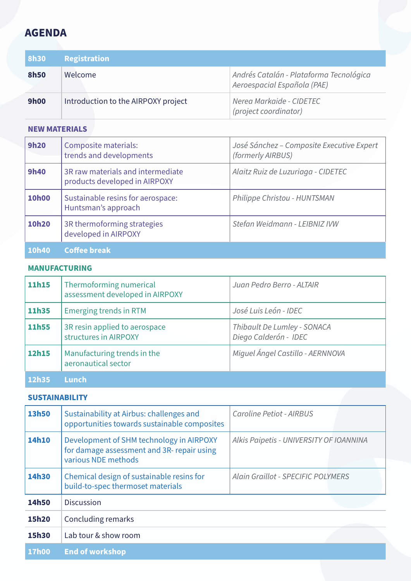## **AGENDA**

| <b>8h30</b> | Registration                        |                                                                        |
|-------------|-------------------------------------|------------------------------------------------------------------------|
| <b>8h50</b> | Welcome                             | Andrés Catalán - Plataforma Tecnológica<br>Aeroespacial Española (PAE) |
| <b>9h00</b> | Introduction to the AIRPOXY project | Nerea Markaide - CIDETEC<br>(project coordinator)                      |

#### **NEW MATERIALS**

| <b>9h20</b>  | Composite materials:<br>trends and developments                    | José Sánchez - Composite Executive Expert<br>(formerly AIRBUS) |
|--------------|--------------------------------------------------------------------|----------------------------------------------------------------|
| <b>9h40</b>  | 3R raw materials and intermediate<br>products developed in AIRPOXY | Alaitz Ruiz de Luzuriaga - CIDETEC                             |
| <b>10h00</b> | Sustainable resins for aerospace:<br>Huntsman's approach           | Philippe Christou - HUNTSMAN                                   |
| 10h20        | 3R thermoforming strategies<br>developed in AIRPOXY                | Stefan Weidmann - LEIBNIZ IVW                                  |
| 10h40        | <b>Coffee break</b>                                                |                                                                |

#### **MANUFACTURING**

| 11h15 | Thermoforming numerical<br>assessment developed in AIRPOXY | Juan Pedro Berro - ALTAIR                            |
|-------|------------------------------------------------------------|------------------------------------------------------|
| 11h35 | <b>Emerging trends in RTM</b>                              | José Luis León - IDEC                                |
| 11h55 | 3R resin applied to aerospace<br>structures in AIRPOXY     | Thibault De Lumley - SONACA<br>Diego Calderón - IDEC |
| 12h15 | Manufacturing trends in the<br>aeronautical sector         | Miguel Ángel Castillo - AERNNOVA                     |
| 12h35 | <b>Lunch</b>                                               |                                                      |

#### **SUSTAINABILITY**

| 13h50 | Sustainability at Airbus: challenges and<br>opportunities towards sustainable composites                      | Caroline Petiot - AIRBUS                  |  |
|-------|---------------------------------------------------------------------------------------------------------------|-------------------------------------------|--|
| 14h10 | Development of SHM technology in AIRPOXY<br>for damage assessment and 3R- repair using<br>various NDE methods | Alkis Paipetis - UNIVERSITY OF IOANNINA   |  |
| 14h30 | Chemical design of sustainable resins for<br>build-to-spec thermoset materials                                | <b>Alain Graillot - SPECIFIC POLYMERS</b> |  |
| 14h50 | <b>Discussion</b>                                                                                             |                                           |  |
| 15h20 | Concluding remarks                                                                                            |                                           |  |
| 15h30 | Lab tour & show room                                                                                          |                                           |  |
| 17h00 | <b>End of workshop</b>                                                                                        |                                           |  |